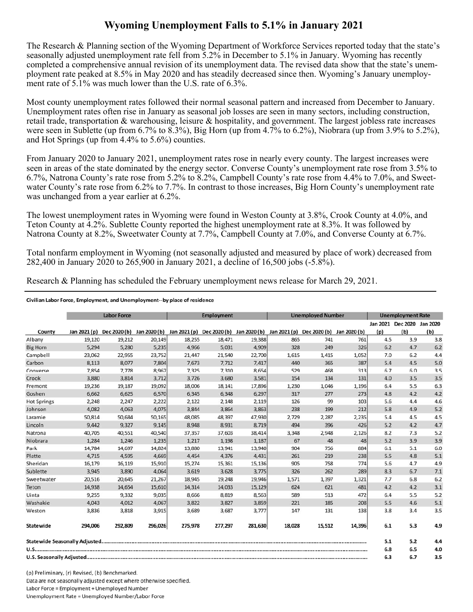## **Wyoming Unemployment Falls to 5.1% in January 2021**

The Research & Planning section of the Wyoming Department of Workforce Services reported today that the state's seasonally adjusted unemployment rate fell from 5.2% in December to 5.1% in January. Wyoming has recently completed a comprehensive annual revision of its unemployment data. The revised data show that the state's unemployment rate peaked at 8.5% in May 2020 and has steadily decreased since then. Wyoming's January unemployment rate of 5.1% was much lower than the U.S. rate of 6.3%.

 were seen in Sublette (up from 6.7% to 8.3%), Big Horn (up from 4.7% to 6.2%), Niobrara (up from 3.9% to 5.2%), Most county unemployment rates followed their normal seasonal pattern and increased from December to January. Unemployment rates often rise in January as seasonal job losses are seen in many sectors, including construction, retail trade, transportation & warehousing, leisure & hospitality, and government. The largest jobless rate increases and Hot Springs (up from 4.4% to 5.6%) counties.

 seen in areas of the state dominated by the energy sector. Converse County's unemployment rate rose from 3.5% to From January 2020 to January 2021, unemployment rates rose in nearly every county. The largest increases were 6.7%, Natrona County's rate rose from 5.2% to 8.2%, Campbell County's rate rose from 4.4% to 7.0%, and Sweetwater County's rate rose from 6.2% to 7.7%. In contrast to those increases, Big Horn County's unemployment rate was unchanged from a year earlier at 6.2%.

The lowest unemployment rates in Wyoming were found in Weston County at 3.8%, Crook County at 4.0%, and Teton County at 4.2%. Sublette County reported the highest unemployment rate at 8.3%. It was followed by Natrona County at 8.2%, Sweetwater County at 7.7%, Campbell County at 7.0%, and Converse County at 6.7%.

 282,400 in January 2020 to 265,900 in January 2021, a decline of 16,500 jobs (-5.8%). Total nonfarm employment in Wyoming (not seasonally adjusted and measured by place of work) decreased from

Research & Planning has scheduled the February unemployment news release for March 29, 2021.

## Civilian Labor Force, Employment, and Unemployment--by place of residence

|                    | <b>Labor Force</b> |         |         | <b>Employment</b>                                                |         |         | <b>Unemployed Number</b> |                                        |        | <b>Unemployment Rate</b> |                            |     |
|--------------------|--------------------|---------|---------|------------------------------------------------------------------|---------|---------|--------------------------|----------------------------------------|--------|--------------------------|----------------------------|-----|
|                    |                    |         |         |                                                                  |         |         |                          |                                        |        |                          | Jan 2021 Dec 2020 Jan 2020 |     |
| County             | Jan 2021 (p)       |         |         | Dec 2020 (b) Jan 2020 (b) Jan 2021 (p) Dec 2020 (b) Jan 2020 (b) |         |         |                          | Jan 2021 (p) Dec 2020 (b) Jan 2020 (b) |        | (p)                      | (b)                        | (b) |
| Albany             | 19,120             | 19,212  | 20,149  | 18,255                                                           | 18,471  | 19,388  | 865                      | 741                                    | 761    | 4.5                      | 3.9                        | 3.8 |
| <b>Big Horn</b>    | 5,294              | 5,280   | 5,235   | 4,966                                                            | 5,031   | 4,909   | 328                      | 249                                    | 326    | 6.2                      | 4.7                        | 6.2 |
| Campbell           | 23,062             | 22,955  | 23,752  | 21,447                                                           | 21,540  | 22,700  | 1,615                    | 1,415                                  | 1,052  | 7.0                      | 6.2                        | 4.4 |
| Carbon             | 8,113              | 8,077   | 7,804   | 7,673                                                            | 7,712   | 7,417   | 440                      | 365                                    | 387    | 5.4                      | 4.5                        | 5.0 |
| Converse           | 7,854              | 7,778   | 8,967   | 7,325                                                            | 7,310   | 8,654   | 529                      | 468                                    | 313    | 6.7                      | 6.0                        | 3.5 |
| Crook              | 3.880              | 3.814   | 3,712   | 3.726                                                            | 3,680   | 3,581   | 154                      | 134                                    | 131    | 4.0                      | 3.5                        | 3.5 |
| Fremont            | 19.236             | 19.187  | 19.092  | 18,006                                                           | 18.141  | 17,896  | 1,230                    | 1.046                                  | 1,196  | 6.4                      | 5.5                        | 6.3 |
| Goshen             | 6,662              | 6,625   | 6,570   | 6,345                                                            | 6,348   | 6,297   | 317                      | 277                                    | 273    | 4.8                      | 4.2                        | 4.2 |
| <b>Hot Springs</b> | 2,248              | 2,247   | 2,222   | 2,122                                                            | 2,148   | 2,119   | 126                      | 99                                     | 103    | 5.6                      | 4.4                        | 4.6 |
| Johnson            | 4,082              | 4,063   | 4,075   | 3,844                                                            | 3,864   | 3,863   | 238                      | 199                                    | 212    | 5.8                      | 4.9                        | 5.2 |
| Laramie            | 50,814             | 50,684  | 50,165  | 48,085                                                           | 48,397  | 47,930  | 2,729                    | 2,287                                  | 2,235  | 5.4                      | 4.5                        | 4.5 |
| Lincoln            | 9,442              | 9,327   | 9,145   | 8,948                                                            | 8,931   | 8,719   | 494                      | 396                                    | 426    | 5.2                      | 4.2                        | 4.7 |
| Natrona            | 40,705             | 40,551  | 40,540  | 37,357                                                           | 37,603  | 38,414  | 3,348                    | 2,948                                  | 2,126  | 8.2                      | 7.3                        | 5.2 |
| Niobrara           | 1,284              | 1,246   | 1,235   | 1,217                                                            | 1,198   | 1,187   | 67                       | 48                                     | 48     | 5.2                      | 3.9                        | 3.9 |
| Park               | 14,784             | 14,697  | 14,824  | 13,880                                                           | 13,941  | 13,940  | 904                      | 756                                    | 884    | 6.1                      | 5.1                        | 6.0 |
| Platte             | 4,715              | 4,595   | 4,669   | 4,454                                                            | 4,376   | 4,431   | 261                      | 219                                    | 238    | 5.5                      | 4.8                        | 5.1 |
| Sheridan           | 16,179             | 16,119  | 15,910  | 15,274                                                           | 15,361  | 15,136  | 905                      | 758                                    | 774    | 5.6                      | 4.7                        | 4.9 |
| Sublette           | 3,945              | 3,890   | 4,064   | 3,619                                                            | 3,628   | 3,775   | 326                      | 262                                    | 289    | 8.3                      | 6.7                        | 7.1 |
| Sweetwater         | 20,516             | 20,645  | 21,267  | 18,945                                                           | 19,248  | 19,946  | 1,571                    | 1,397                                  | 1,321  | 7.7                      | 6.8                        | 6.2 |
| Teton              | 14.938             | 14.654  | 15,610  | 14,314                                                           | 14,033  | 15,129  | 624                      | 621                                    | 481    | 4.2                      | 4.2                        | 3.1 |
| Uinta              | 9,255              | 9,332   | 9,035   | 8,666                                                            | 8,819   | 8,563   | 589                      | 513                                    | 472    | 6.4                      | 5.5                        | 5.2 |
| Washakie           | 4.043              | 4,012   | 4,067   | 3,822                                                            | 3,827   | 3,859   | 221                      | 185                                    | 208    | 5.5                      | 4.6                        | 5.1 |
| Weston             | 3,836              | 3,818   | 3,915   | 3.689                                                            | 3.687   | 3,777   | 147                      | 131                                    | 138    | 3.8                      | 3.4                        | 3.5 |
| Statewide          | 294,006            | 292,809 | 296,026 | 275,978                                                          | 277,297 | 281,630 | 18,028                   | 15,512                                 | 14,396 | 6.1                      | 5.3                        | 4.9 |
|                    |                    |         |         |                                                                  |         |         |                          |                                        |        | 5.1                      | 5.2                        | 4.4 |
|                    |                    |         |         |                                                                  |         |         |                          |                                        |        | 6.8                      | 6.5                        | 4.0 |
|                    |                    |         |         |                                                                  |         |         |                          |                                        |        | 6.3                      | 6.7                        | 3.5 |

(p) Preliminary, (r) Revised, (b) Benchmarked. Data are not seasonally adjusted except where otherwise specified. Labor Force = Employment + Unemployed Number Unemployment Rate = Unemployed Number/Labor Force